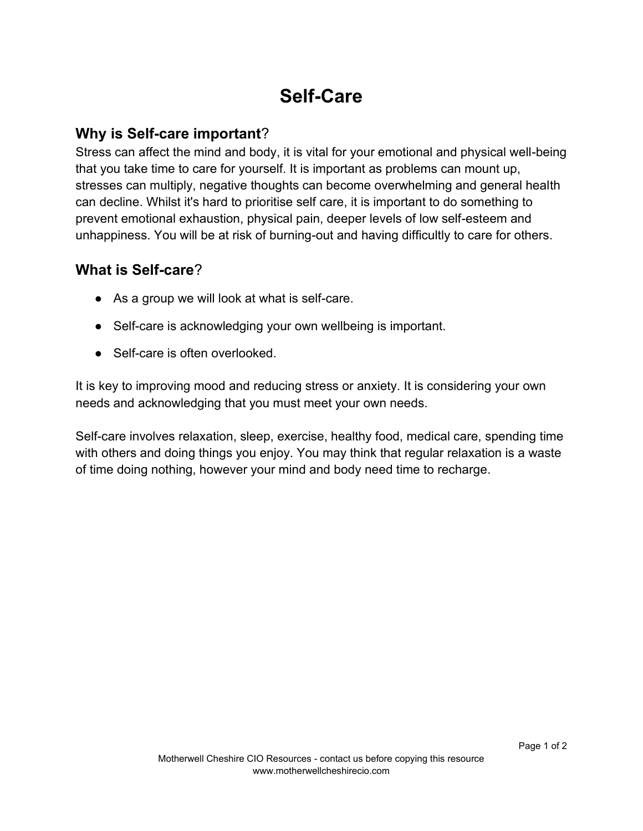## **Self-Care**

## **Why is Self-care important**?

Stress can affect the mind and body, it is vital for your emotional and physical well-being that you take time to care for yourself. It is important as problems can mount up, stresses can multiply, negative thoughts can become overwhelming and general health can decline. Whilst it's hard to prioritise self care, it is important to do something to prevent emotional exhaustion, physical pain, deeper levels of low self-esteem and unhappiness. You will be at risk of burning-out and having difficultly to care for others.

## **What is Self-care**?

- As a group we will look at what is self-care.
- Self-care is acknowledging your own wellbeing is important.
- Self-care is often overlooked.

It is key to improving mood and reducing stress or anxiety. It is considering your own needs and acknowledging that you must meet your own needs.

Self-care involves relaxation, sleep, exercise, healthy food, medical care, spending time with others and doing things you enjoy. You may think that regular relaxation is a waste of time doing nothing, however your mind and body need time to recharge.